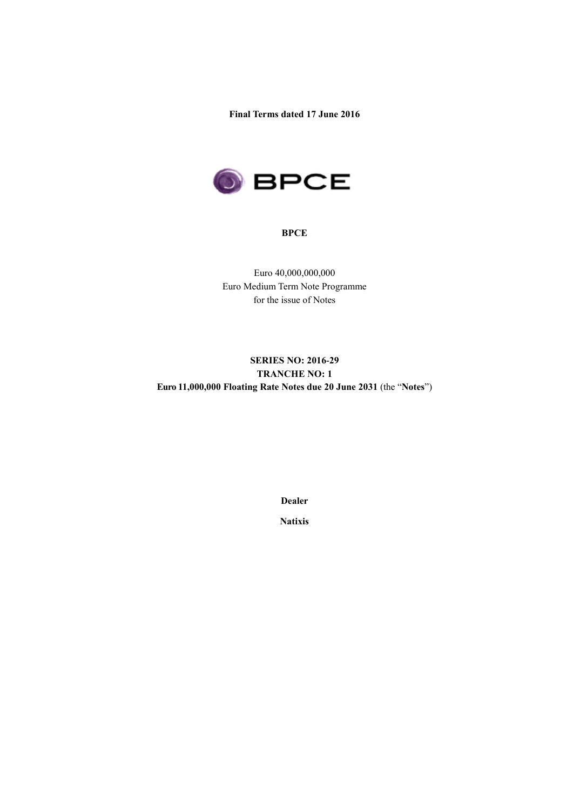**Final Terms dated 17 June 2016**



#### **BPCE**

Euro 40,000,000,000 Euro Medium Term Note Programme for the issue of Notes

# **SERIES NO: 2016-29 TRANCHE NO: 1 Euro 11,000,000 Floating Rate Notes due 20 June 2031** (the "**Notes**")

**Dealer**

**Natixis**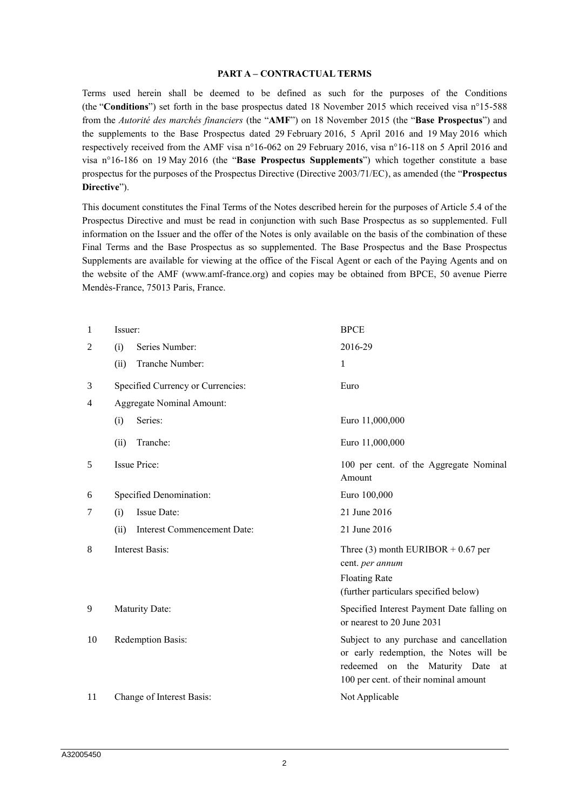#### **PART A – CONTRACTUAL TERMS**

Terms used herein shall be deemed to be defined as such for the purposes of the Conditions (the "**Conditions**") set forth in the base prospectus dated 18 November 2015 which received visa n°15-588 from the *Autorité des marchés financiers* (the "**AMF**") on 18 November 2015 (the "**Base Prospectus**") and the supplements to the Base Prospectus dated 29 February 2016, 5 April 2016 and 19 May 2016 which respectively received from the AMF visa n°16-062 on 29 February 2016, visa n°16-118 on 5 April 2016 and visa n°16-186 on 19 May 2016 (the "**Base Prospectus Supplements**") which together constitute a base prospectus for the purposes of the Prospectus Directive (Directive 2003/71/EC), as amended (the "**Prospectus Directive**").

This document constitutes the Final Terms of the Notes described herein for the purposes of Article 5.4 of the Prospectus Directive and must be read in conjunction with such Base Prospectus as so supplemented. Full information on the Issuer and the offer of the Notes is only available on the basis of the combination of these Final Terms and the Base Prospectus as so supplemented. The Base Prospectus and the Base Prospectus Supplements are available for viewing at the office of the Fiscal Agent or each of the Paying Agents and on the website of the AMF (www.amf-france.org) and copies may be obtained from BPCE, 50 avenue Pierre Mendès-France, 75013 Paris, France.

| $\mathbf{1}$   | Issuer:                          |                                   | <b>BPCE</b>                                                                                                                                                        |  |
|----------------|----------------------------------|-----------------------------------|--------------------------------------------------------------------------------------------------------------------------------------------------------------------|--|
| 2              | (i)                              | Series Number:                    | 2016-29                                                                                                                                                            |  |
|                | (ii)                             | Tranche Number:                   | 1                                                                                                                                                                  |  |
| 3              |                                  | Specified Currency or Currencies: | Euro                                                                                                                                                               |  |
| $\overline{4}$ | <b>Aggregate Nominal Amount:</b> |                                   |                                                                                                                                                                    |  |
|                | (i)                              | Series:                           | Euro 11,000,000                                                                                                                                                    |  |
|                | (ii)                             | Tranche:                          | Euro 11,000,000                                                                                                                                                    |  |
| 5              | Issue Price:                     |                                   | 100 per cent. of the Aggregate Nominal<br>Amount                                                                                                                   |  |
| 6              | Specified Denomination:          |                                   | Euro 100,000                                                                                                                                                       |  |
| 7              | (i)                              | Issue Date:                       | 21 June 2016                                                                                                                                                       |  |
|                | (ii)                             | Interest Commencement Date:       | 21 June 2016                                                                                                                                                       |  |
| 8              | Interest Basis:                  |                                   | Three (3) month EURIBOR $+ 0.67$ per<br>cent. per annum                                                                                                            |  |
|                |                                  |                                   | <b>Floating Rate</b>                                                                                                                                               |  |
|                |                                  |                                   | (further particulars specified below)                                                                                                                              |  |
| 9              |                                  | Maturity Date:                    | Specified Interest Payment Date falling on<br>or nearest to 20 June 2031                                                                                           |  |
| 10             |                                  | Redemption Basis:                 | Subject to any purchase and cancellation<br>or early redemption, the Notes will be<br>redeemed on the Maturity Date<br>at<br>100 per cent. of their nominal amount |  |
| 11             |                                  | Change of Interest Basis:         | Not Applicable                                                                                                                                                     |  |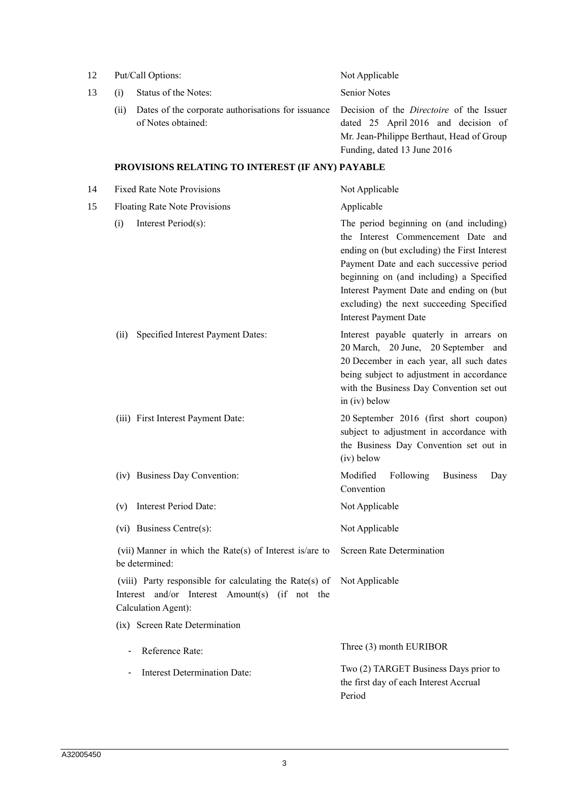| 12 | Put/Call Options:                                                                                                                |                                                                              | Not Applicable                                                                                                                                                                                                                                                                                                                               |  |
|----|----------------------------------------------------------------------------------------------------------------------------------|------------------------------------------------------------------------------|----------------------------------------------------------------------------------------------------------------------------------------------------------------------------------------------------------------------------------------------------------------------------------------------------------------------------------------------|--|
| 13 | (i)                                                                                                                              | Status of the Notes:                                                         | <b>Senior Notes</b>                                                                                                                                                                                                                                                                                                                          |  |
|    | (ii)                                                                                                                             | Dates of the corporate authorisations for issuance<br>of Notes obtained:     | Decision of the <i>Directoire</i> of the Issuer<br>dated 25 April 2016 and decision of<br>Mr. Jean-Philippe Berthaut, Head of Group<br>Funding, dated 13 June 2016                                                                                                                                                                           |  |
|    |                                                                                                                                  | PROVISIONS RELATING TO INTEREST (IF ANY) PAYABLE                             |                                                                                                                                                                                                                                                                                                                                              |  |
| 14 |                                                                                                                                  | <b>Fixed Rate Note Provisions</b>                                            | Not Applicable                                                                                                                                                                                                                                                                                                                               |  |
| 15 |                                                                                                                                  | Floating Rate Note Provisions                                                | Applicable                                                                                                                                                                                                                                                                                                                                   |  |
|    | (i)                                                                                                                              | Interest Period(s):                                                          | The period beginning on (and including)<br>the Interest Commencement Date and<br>ending on (but excluding) the First Interest<br>Payment Date and each successive period<br>beginning on (and including) a Specified<br>Interest Payment Date and ending on (but<br>excluding) the next succeeding Specified<br><b>Interest Payment Date</b> |  |
|    | (ii)                                                                                                                             | Specified Interest Payment Dates:                                            | Interest payable quaterly in arrears on<br>20 March, 20 June, 20 September and<br>20 December in each year, all such dates<br>being subject to adjustment in accordance<br>with the Business Day Convention set out<br>in (iv) below                                                                                                         |  |
|    |                                                                                                                                  | (iii) First Interest Payment Date:                                           | 20 September 2016 (first short coupon)<br>subject to adjustment in accordance with<br>the Business Day Convention set out in<br>(iv) below                                                                                                                                                                                                   |  |
|    |                                                                                                                                  | (iv) Business Day Convention:                                                | Modified<br>Following<br><b>Business</b><br>Day<br>Convention                                                                                                                                                                                                                                                                                |  |
|    | (v)                                                                                                                              | Interest Period Date:                                                        | Not Applicable                                                                                                                                                                                                                                                                                                                               |  |
|    |                                                                                                                                  | (vi) Business Centre(s):                                                     | Not Applicable                                                                                                                                                                                                                                                                                                                               |  |
|    |                                                                                                                                  | (vii) Manner in which the Rate $(s)$ of Interest is/are to<br>be determined: | Screen Rate Determination                                                                                                                                                                                                                                                                                                                    |  |
|    | (viii) Party responsible for calculating the Rate(s) of<br>Interest and/or Interest Amount(s) (if not the<br>Calculation Agent): |                                                                              | Not Applicable                                                                                                                                                                                                                                                                                                                               |  |
|    |                                                                                                                                  | (ix) Screen Rate Determination                                               |                                                                                                                                                                                                                                                                                                                                              |  |
|    | $\overline{\phantom{a}}$                                                                                                         | Reference Rate:                                                              | Three (3) month EURIBOR                                                                                                                                                                                                                                                                                                                      |  |
|    | ۰                                                                                                                                | Interest Determination Date:                                                 | Two (2) TARGET Business Days prior to<br>the first day of each Interest Accrual<br>Period                                                                                                                                                                                                                                                    |  |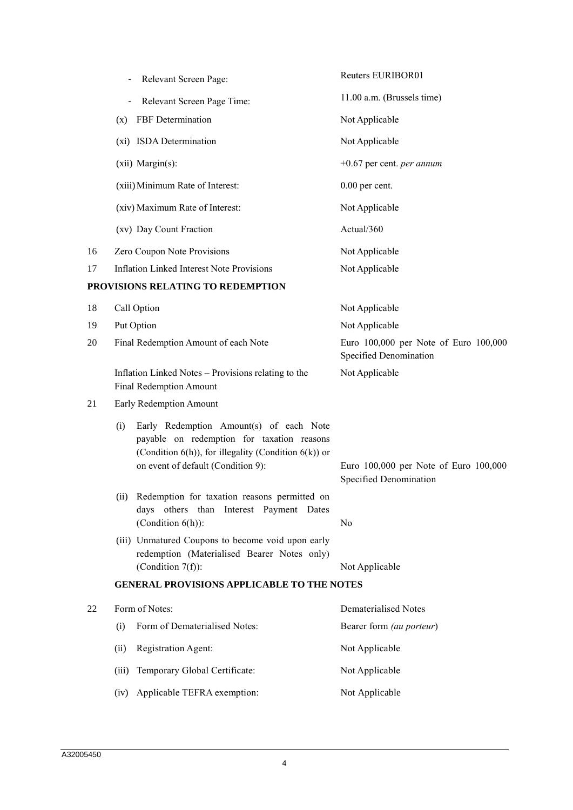|    | Relevant Screen Page:                                                                                                                                                                      | Reuters EURIBOR01                                               |  |
|----|--------------------------------------------------------------------------------------------------------------------------------------------------------------------------------------------|-----------------------------------------------------------------|--|
|    | Relevant Screen Page Time:                                                                                                                                                                 | 11.00 a.m. (Brussels time)                                      |  |
|    | <b>FBF</b> Determination<br>(x)                                                                                                                                                            | Not Applicable                                                  |  |
|    | (xi) ISDA Determination                                                                                                                                                                    | Not Applicable                                                  |  |
|    | (xii) Margin(s):                                                                                                                                                                           | $+0.67$ per cent. <i>per annum</i>                              |  |
|    | (xiii) Minimum Rate of Interest:                                                                                                                                                           | $0.00$ per cent.                                                |  |
|    | (xiv) Maximum Rate of Interest:                                                                                                                                                            | Not Applicable                                                  |  |
|    | (xv) Day Count Fraction                                                                                                                                                                    | Actual/360                                                      |  |
| 16 | Zero Coupon Note Provisions                                                                                                                                                                | Not Applicable                                                  |  |
| 17 | <b>Inflation Linked Interest Note Provisions</b>                                                                                                                                           | Not Applicable                                                  |  |
|    | PROVISIONS RELATING TO REDEMPTION                                                                                                                                                          |                                                                 |  |
| 18 | Call Option                                                                                                                                                                                | Not Applicable                                                  |  |
| 19 | Put Option                                                                                                                                                                                 | Not Applicable                                                  |  |
| 20 | Final Redemption Amount of each Note                                                                                                                                                       | Euro 100,000 per Note of Euro 100,000<br>Specified Denomination |  |
|    | Inflation Linked Notes - Provisions relating to the<br><b>Final Redemption Amount</b>                                                                                                      | Not Applicable                                                  |  |
| 21 | Early Redemption Amount                                                                                                                                                                    |                                                                 |  |
|    | Early Redemption Amount(s) of each Note<br>(i)<br>payable on redemption for taxation reasons<br>(Condition 6(h)), for illegality (Condition 6(k)) or<br>on event of default (Condition 9): | Euro 100,000 per Note of Euro 100,000<br>Specified Denomination |  |
|    | (ii) Redemption for taxation reasons permitted on<br>days others than Interest Payment Dates<br>(Condition $6(h)$ ):                                                                       | No                                                              |  |
|    | (iii) Unmatured Coupons to become void upon early<br>redemption (Materialised Bearer Notes only)<br>(Condition $7(f)$ ):                                                                   | Not Applicable                                                  |  |
|    | <b>GENERAL PROVISIONS APPLICABLE TO THE NOTES</b>                                                                                                                                          |                                                                 |  |
| 22 | Form of Notes:                                                                                                                                                                             | <b>Dematerialised Notes</b>                                     |  |
|    | Form of Dematerialised Notes:<br>(i)                                                                                                                                                       | Bearer form (au porteur)                                        |  |
|    |                                                                                                                                                                                            |                                                                 |  |
|    | Registration Agent:<br>(ii)                                                                                                                                                                | Not Applicable                                                  |  |
|    | Temporary Global Certificate:<br>(iii)                                                                                                                                                     | Not Applicable                                                  |  |
|    | Applicable TEFRA exemption:<br>(iv)                                                                                                                                                        | Not Applicable                                                  |  |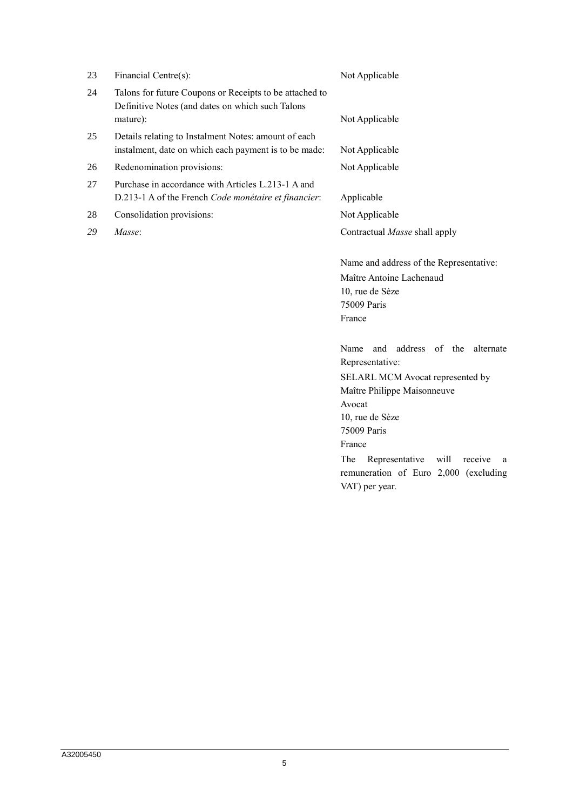| 23 | Financial Centre(s):                                                                                          | Not Applicable                          |
|----|---------------------------------------------------------------------------------------------------------------|-----------------------------------------|
| 24 | Talons for future Coupons or Receipts to be attached to<br>Definitive Notes (and dates on which such Talons   |                                         |
|    | mature):                                                                                                      | Not Applicable                          |
| 25 | Details relating to Instalment Notes: amount of each<br>instalment, date on which each payment is to be made: | Not Applicable                          |
| 26 | Redenomination provisions:                                                                                    | Not Applicable                          |
| 27 | Purchase in accordance with Articles L.213-1 A and                                                            |                                         |
|    | D.213-1 A of the French Code monétaire et financier:                                                          | Applicable                              |
| 28 | Consolidation provisions:                                                                                     | Not Applicable                          |
| 29 | Masse:                                                                                                        | Contractual <i>Masse</i> shall apply    |
|    |                                                                                                               | Name and address of the Representative: |
|    |                                                                                                               | Maître Antoine Lachenaud                |
|    |                                                                                                               | 10, rue de Sèze                         |
|    |                                                                                                               | 75009 Paris                             |
|    |                                                                                                               | France                                  |

Name and address of the alternate Representative:

SELARL MCM Avocat represented by Maître Philippe Maisonneuve Avocat 10, rue de Sèze 75009 Paris France The Representative will receive a remuneration of Euro 2,000 (excluding VAT) per year.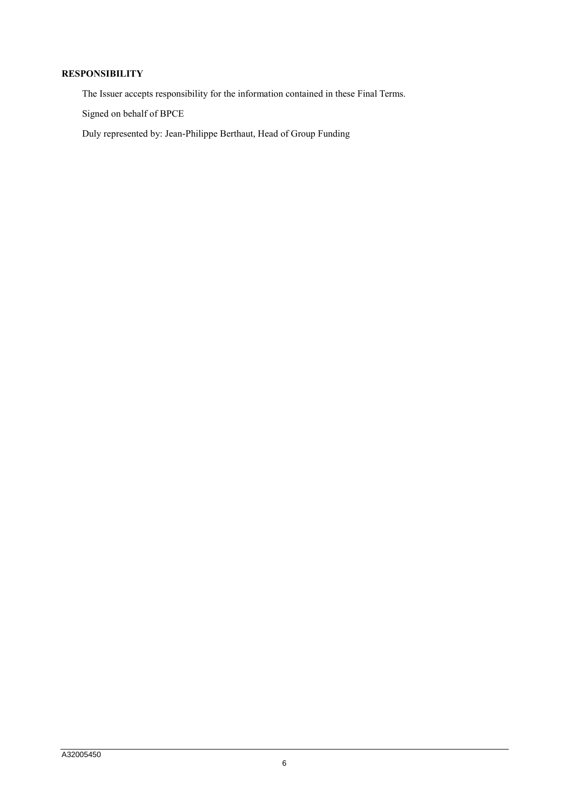## **RESPONSIBILITY**

The Issuer accepts responsibility for the information contained in these Final Terms.

Signed on behalf of BPCE

Duly represented by: Jean-Philippe Berthaut, Head of Group Funding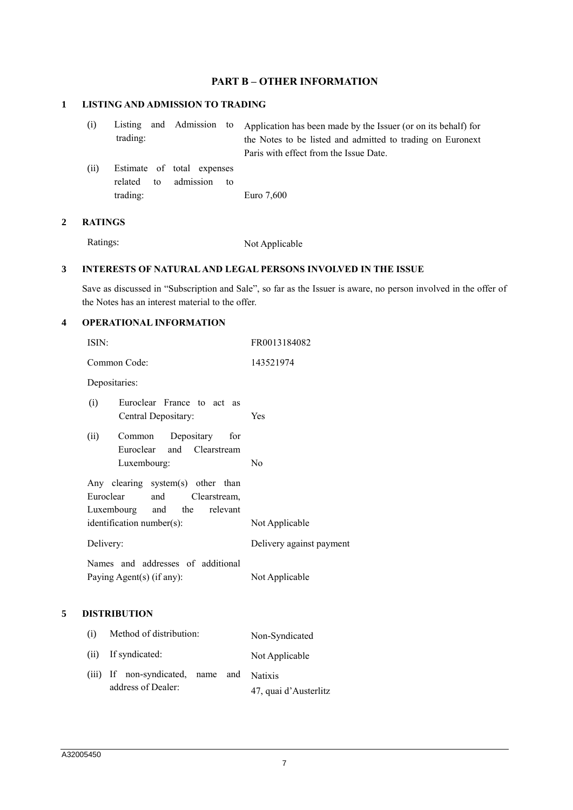## **PART B – OTHER INFORMATION**

## **1 LISTING AND ADMISSION TO TRADING**

- (i) Listing and Admission to trading: Application has been made by the Issuer (or on its behalf) for the Notes to be listed and admitted to trading on Euronext Paris with effect from the Issue Date.
- (ii) Estimate of total expenses related to admission to trading: Euro 7,600

#### **2 RATINGS**

Ratings: Not Applicable

#### **3 INTERESTS OF NATURAL AND LEGAL PERSONS INVOLVED IN THE ISSUE**

Save as discussed in "Subscription and Sale", so far as the Issuer is aware, no person involved in the offer of the Notes has an interest material to the offer.

### **4 OPERATIONAL INFORMATION**

|   | ISIN:                                                                                                                             | FR0013184082             |
|---|-----------------------------------------------------------------------------------------------------------------------------------|--------------------------|
|   | Common Code:                                                                                                                      | 143521974                |
|   | Depositaries:                                                                                                                     |                          |
|   | Euroclear France to act as<br>(i)<br>Central Depositary:                                                                          | Yes                      |
|   | Common Depositary for<br>(ii)<br>Euroclear<br>Clearstream<br>and<br>Luxembourg:                                                   | N <sub>0</sub>           |
|   | Any clearing system(s) other than<br>Euroclear<br>and<br>Clearstream,<br>Luxembourg and the relevant<br>identification number(s): | Not Applicable           |
|   | Delivery:                                                                                                                         | Delivery against payment |
|   | Names and addresses of additional<br>Paying Agent(s) (if any):                                                                    | Not Applicable           |
| 5 | <b>DISTRIBUTION</b>                                                                                                               |                          |
|   | Method of distribution:<br>(i)                                                                                                    | Non-Syndicated           |

|                                           |  | THAT DISTURBANCE      |
|-------------------------------------------|--|-----------------------|
| (ii) If syndicated:                       |  | Not Applicable        |
| (iii) If non-syndicated, name and Natixis |  |                       |
| address of Dealer:                        |  | 47, quai d'Austerlitz |